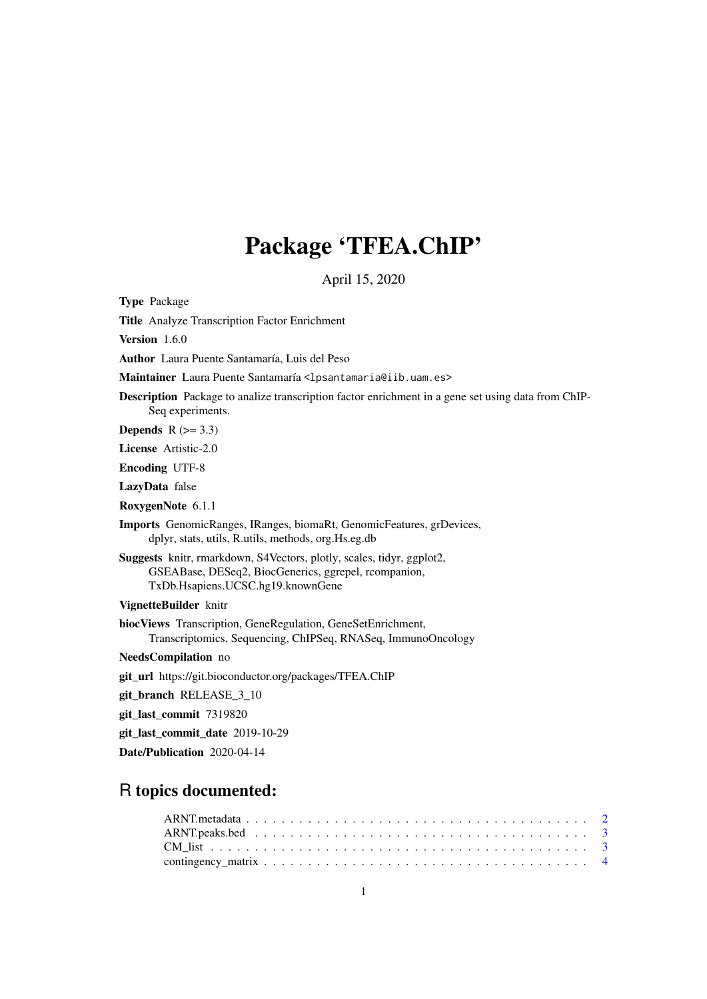# Package 'TFEA.ChIP'

April 15, 2020

Type Package

Title Analyze Transcription Factor Enrichment

Version 1.6.0

Author Laura Puente Santamaría, Luis del Peso

Maintainer Laura Puente Santamaría <lpsantamaria@iib.uam.es>

Description Package to analize transcription factor enrichment in a gene set using data from ChIP-Seq experiments.

Depends  $R$  ( $> = 3.3$ )

License Artistic-2.0

Encoding UTF-8

LazyData false

RoxygenNote 6.1.1

Imports GenomicRanges, IRanges, biomaRt, GenomicFeatures, grDevices, dplyr, stats, utils, R.utils, methods, org.Hs.eg.db

Suggests knitr, rmarkdown, S4Vectors, plotly, scales, tidyr, ggplot2, GSEABase, DESeq2, BiocGenerics, ggrepel, rcompanion, TxDb.Hsapiens.UCSC.hg19.knownGene

VignetteBuilder knitr

biocViews Transcription, GeneRegulation, GeneSetEnrichment, Transcriptomics, Sequencing, ChIPSeq, RNASeq, ImmunoOncology

NeedsCompilation no

git\_url https://git.bioconductor.org/packages/TFEA.ChIP

git\_branch RELEASE\_3\_10

git\_last\_commit 7319820

git\_last\_commit\_date 2019-10-29

Date/Publication 2020-04-14

# R topics documented: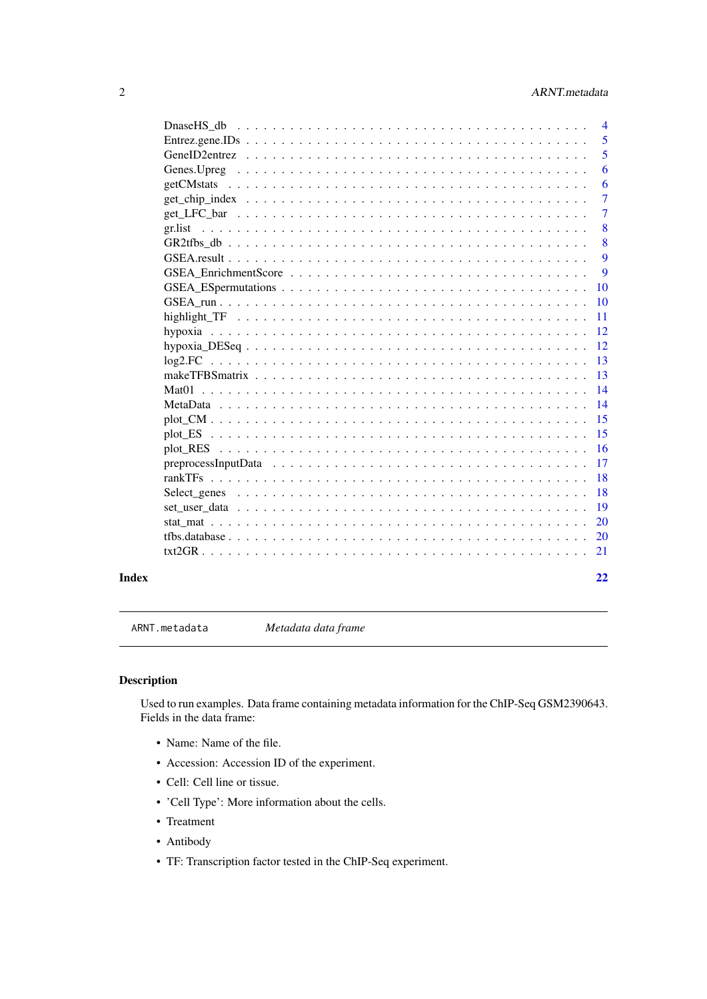# <span id="page-1-0"></span>2 ARNT.metadata

|              |            | $\overline{4}$ |
|--------------|------------|----------------|
|              |            | 5              |
|              |            | 5              |
|              |            | 6              |
|              | getCMstats | 6              |
|              |            | 7              |
|              |            | $\overline{7}$ |
|              | gr.list    | 8              |
|              |            | 8              |
|              |            | 9              |
|              |            | 9              |
|              |            | 10             |
|              |            | <b>10</b>      |
|              |            | 11             |
|              |            | 12             |
|              |            | 12             |
|              |            | 13             |
|              |            | 13             |
|              | Mat01      | 14             |
|              |            | 14             |
|              |            | 15             |
|              |            | 15             |
|              |            | 16             |
|              |            | 17             |
|              |            | 18             |
|              |            | 18             |
|              |            | 19             |
|              |            | 20             |
|              |            | <b>20</b>      |
|              |            |                |
|              |            |                |
| <b>Index</b> |            | 22             |

ARNT.metadata *Metadata data frame*

# Description

Used to run examples. Data frame containing metadata information for the ChIP-Seq GSM2390643. Fields in the data frame:

- Name: Name of the file.
- Accession: Accession ID of the experiment.
- Cell: Cell line or tissue.
- 'Cell Type': More information about the cells.
- Treatment
- Antibody
- TF: Transcription factor tested in the ChIP-Seq experiment.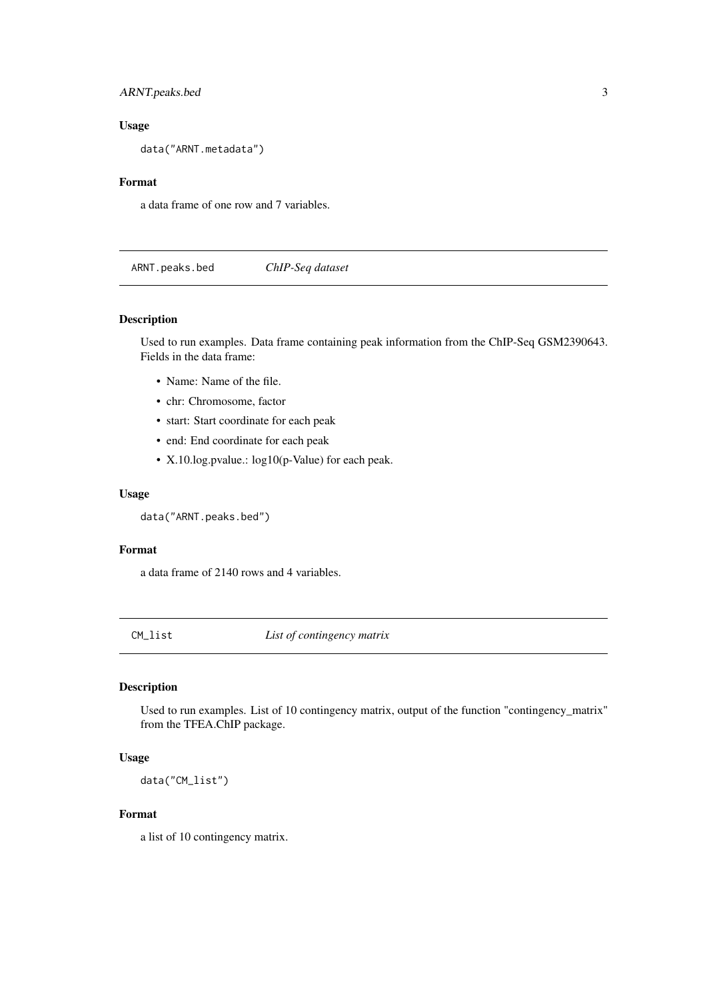<span id="page-2-0"></span>ARNT.peaks.bed 3

# Usage

data("ARNT.metadata")

# Format

a data frame of one row and 7 variables.

ARNT.peaks.bed *ChIP-Seq dataset*

#### Description

Used to run examples. Data frame containing peak information from the ChIP-Seq GSM2390643. Fields in the data frame:

- Name: Name of the file.
- chr: Chromosome, factor
- start: Start coordinate for each peak
- end: End coordinate for each peak
- X.10.log.pvalue.: log10(p-Value) for each peak.

#### Usage

```
data("ARNT.peaks.bed")
```
#### Format

a data frame of 2140 rows and 4 variables.

CM\_list *List of contingency matrix*

# Description

Used to run examples. List of 10 contingency matrix, output of the function "contingency\_matrix" from the TFEA.ChIP package.

# Usage

data("CM\_list")

#### Format

a list of 10 contingency matrix.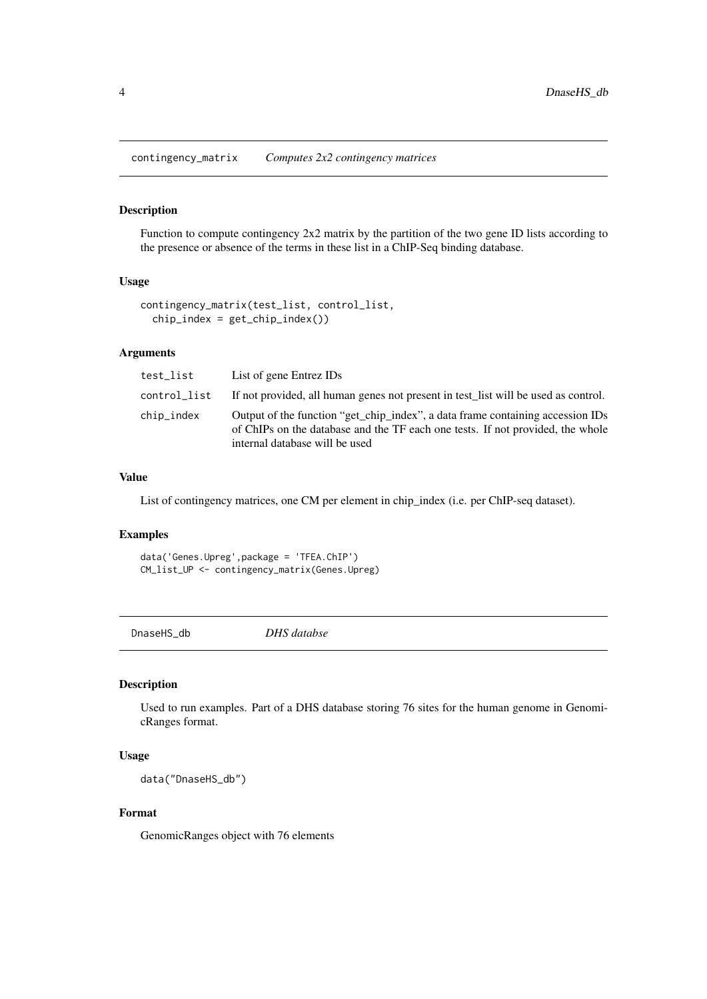<span id="page-3-0"></span>contingency\_matrix *Computes 2x2 contingency matrices*

# Description

Function to compute contingency 2x2 matrix by the partition of the two gene ID lists according to the presence or absence of the terms in these list in a ChIP-Seq binding database.

#### Usage

```
contingency_matrix(test_list, control_list,
  chip\_index = get\_chip\_index()
```
#### Arguments

| test_list    | List of gene Entrez IDs                                                                                                                                                                            |
|--------------|----------------------------------------------------------------------------------------------------------------------------------------------------------------------------------------------------|
| control_list | If not provided, all human genes not present in test_list will be used as control.                                                                                                                 |
| chip_index   | Output of the function "get_chip_index", a data frame containing accession IDs<br>of ChIPs on the database and the TF each one tests. If not provided, the whole<br>internal database will be used |

# Value

List of contingency matrices, one CM per element in chip\_index (i.e. per ChIP-seq dataset).

# Examples

data('Genes.Upreg',package = 'TFEA.ChIP') CM\_list\_UP <- contingency\_matrix(Genes.Upreg)

DnaseHS\_db *DHS databse*

#### Description

Used to run examples. Part of a DHS database storing 76 sites for the human genome in GenomicRanges format.

# Usage

data("DnaseHS\_db")

# Format

GenomicRanges object with 76 elements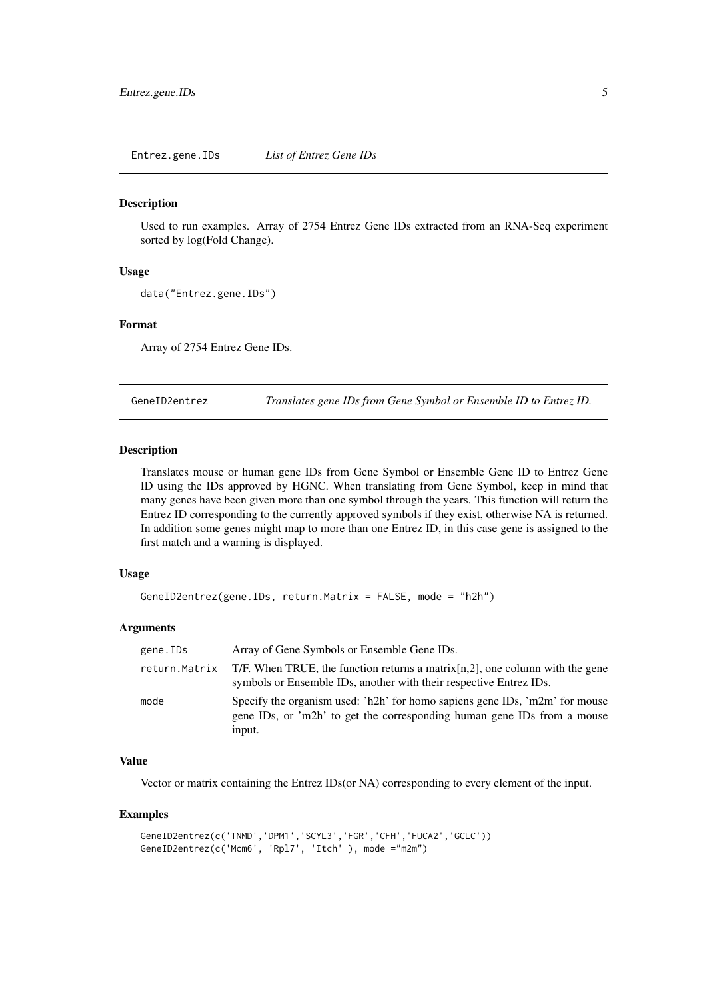<span id="page-4-0"></span>Entrez.gene.IDs *List of Entrez Gene IDs*

#### **Description**

Used to run examples. Array of 2754 Entrez Gene IDs extracted from an RNA-Seq experiment sorted by log(Fold Change).

#### Usage

```
data("Entrez.gene.IDs")
```
#### Format

Array of 2754 Entrez Gene IDs.

GeneID2entrez *Translates gene IDs from Gene Symbol or Ensemble ID to Entrez ID.*

# Description

Translates mouse or human gene IDs from Gene Symbol or Ensemble Gene ID to Entrez Gene ID using the IDs approved by HGNC. When translating from Gene Symbol, keep in mind that many genes have been given more than one symbol through the years. This function will return the Entrez ID corresponding to the currently approved symbols if they exist, otherwise NA is returned. In addition some genes might map to more than one Entrez ID, in this case gene is assigned to the first match and a warning is displayed.

#### Usage

```
GeneID2entrez(gene.IDs, return.Matrix = FALSE, mode = "h2h")
```
#### Arguments

| gene.IDs      | Array of Gene Symbols or Ensemble Gene IDs.                                                                                                                      |
|---------------|------------------------------------------------------------------------------------------------------------------------------------------------------------------|
| return.Matrix | T/F. When TRUE, the function returns a matrix $[n, 2]$ , one column with the gene<br>symbols or Ensemble IDs, another with their respective Entrez IDs.          |
| mode          | Specify the organism used: 'h2h' for homo sapiens gene IDs, 'm2m' for mouse<br>gene IDs, or 'm2h' to get the corresponding human gene IDs from a mouse<br>input. |

# Value

Vector or matrix containing the Entrez IDs(or NA) corresponding to every element of the input.

```
GeneID2entrez(c('TNMD','DPM1','SCYL3','FGR','CFH','FUCA2','GCLC'))
GeneID2entrez(c('Mcm6', 'Rpl7', 'Itch' ), mode ="m2m")
```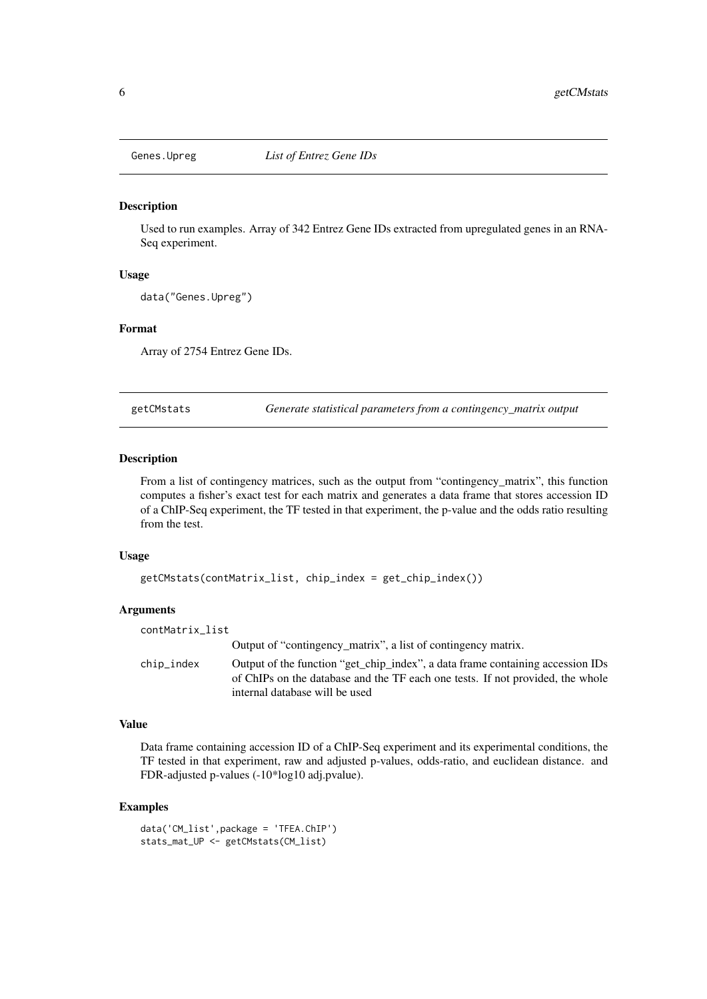<span id="page-5-0"></span>

Used to run examples. Array of 342 Entrez Gene IDs extracted from upregulated genes in an RNA-Seq experiment.

#### Usage

```
data("Genes.Upreg")
```
#### Format

Array of 2754 Entrez Gene IDs.

getCMstats *Generate statistical parameters from a contingency\_matrix output*

#### Description

From a list of contingency matrices, such as the output from "contingency\_matrix", this function computes a fisher's exact test for each matrix and generates a data frame that stores accession ID of a ChIP-Seq experiment, the TF tested in that experiment, the p-value and the odds ratio resulting from the test.

#### Usage

```
getCMstats(contMatrix_list, chip_index = get_chip_index())
```
# Arguments

| contMatrix_list |                                                                                                                                                                                                    |
|-----------------|----------------------------------------------------------------------------------------------------------------------------------------------------------------------------------------------------|
|                 | Output of "contingency_matrix", a list of contingency matrix.                                                                                                                                      |
| chip_index      | Output of the function "get_chip_index", a data frame containing accession IDs<br>of ChIPs on the database and the TF each one tests. If not provided, the whole<br>internal database will be used |

# Value

Data frame containing accession ID of a ChIP-Seq experiment and its experimental conditions, the TF tested in that experiment, raw and adjusted p-values, odds-ratio, and euclidean distance. and FDR-adjusted p-values (-10\*log10 adj.pvalue).

```
data('CM_list',package = 'TFEA.ChIP')
stats_mat_UP <- getCMstats(CM_list)
```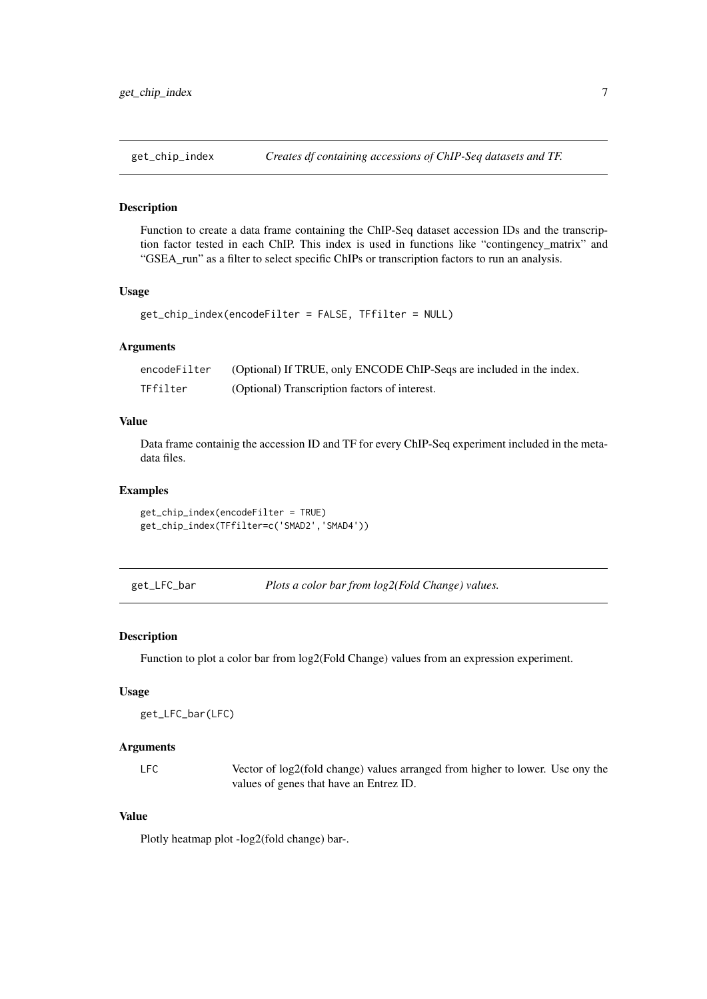<span id="page-6-0"></span>

Function to create a data frame containing the ChIP-Seq dataset accession IDs and the transcription factor tested in each ChIP. This index is used in functions like "contingency\_matrix" and "GSEA\_run" as a filter to select specific ChIPs or transcription factors to run an analysis.

### Usage

```
get_chip_index(encodeFilter = FALSE, TFfilter = NULL)
```
#### Arguments

| encodeFilter | (Optional) If TRUE, only ENCODE ChIP-Seqs are included in the index. |
|--------------|----------------------------------------------------------------------|
| TFfilter     | (Optional) Transcription factors of interest.                        |

# Value

Data frame containig the accession ID and TF for every ChIP-Seq experiment included in the metadata files.

# Examples

```
get_chip_index(encodeFilter = TRUE)
get_chip_index(TFfilter=c('SMAD2','SMAD4'))
```
get\_LFC\_bar *Plots a color bar from log2(Fold Change) values.*

#### Description

Function to plot a color bar from log2(Fold Change) values from an expression experiment.

#### Usage

```
get_LFC_bar(LFC)
```
#### Arguments

LFC Vector of log2(fold change) values arranged from higher to lower. Use ony the values of genes that have an Entrez ID.

# Value

Plotly heatmap plot -log2(fold change) bar-.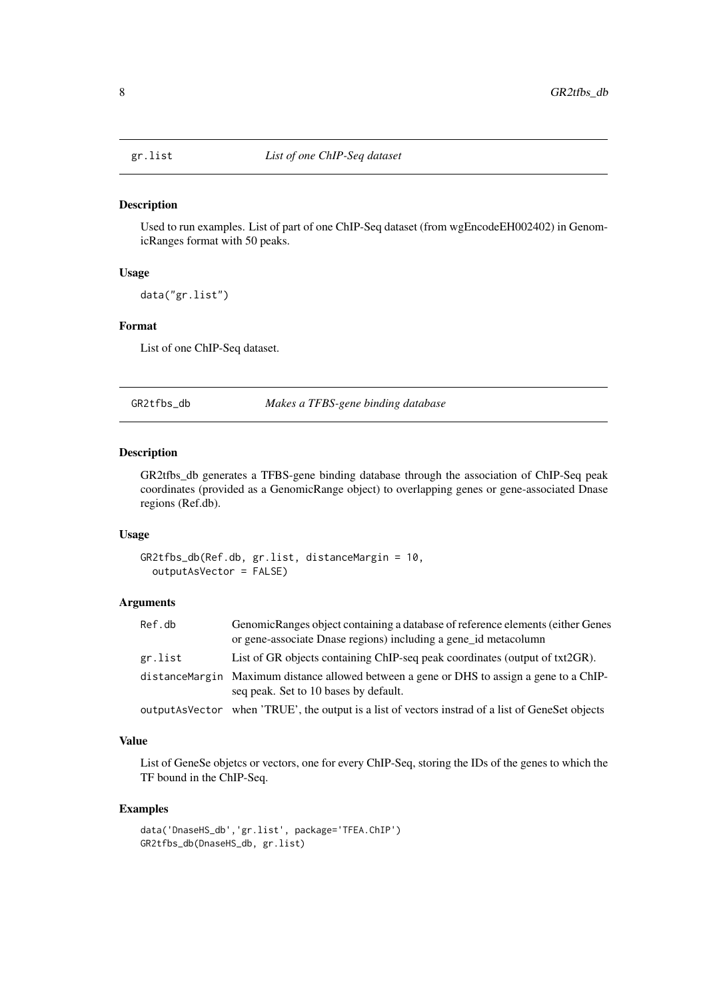<span id="page-7-0"></span>

Used to run examples. List of part of one ChIP-Seq dataset (from wgEncodeEH002402) in GenomicRanges format with 50 peaks.

#### Usage

data("gr.list")

#### Format

List of one ChIP-Seq dataset.

GR2tfbs\_db *Makes a TFBS-gene binding database*

#### Description

GR2tfbs\_db generates a TFBS-gene binding database through the association of ChIP-Seq peak coordinates (provided as a GenomicRange object) to overlapping genes or gene-associated Dnase regions (Ref.db).

#### Usage

```
GR2tfbs_db(Ref.db, gr.list, distanceMargin = 10,
 outputAsVector = FALSE)
```
# Arguments

| Ref.db  | GenomicRanges object containing a database of reference elements (either Genes<br>or gene-associate Dnase regions) including a gene id metacolumn |
|---------|---------------------------------------------------------------------------------------------------------------------------------------------------|
| gr.list | List of GR objects containing ChIP-seq peak coordinates (output of txt2GR).                                                                       |
|         | distance Margin Maximum distance allowed between a gene or DHS to assign a gene to a ChIP-<br>seq peak. Set to 10 bases by default.               |
|         | output As Vector when 'TRUE', the output is a list of vectors instrad of a list of GeneSet objects                                                |

### Value

List of GeneSe objetcs or vectors, one for every ChIP-Seq, storing the IDs of the genes to which the TF bound in the ChIP-Seq.

```
data('DnaseHS_db','gr.list', package='TFEA.ChIP')
GR2tfbs_db(DnaseHS_db, gr.list)
```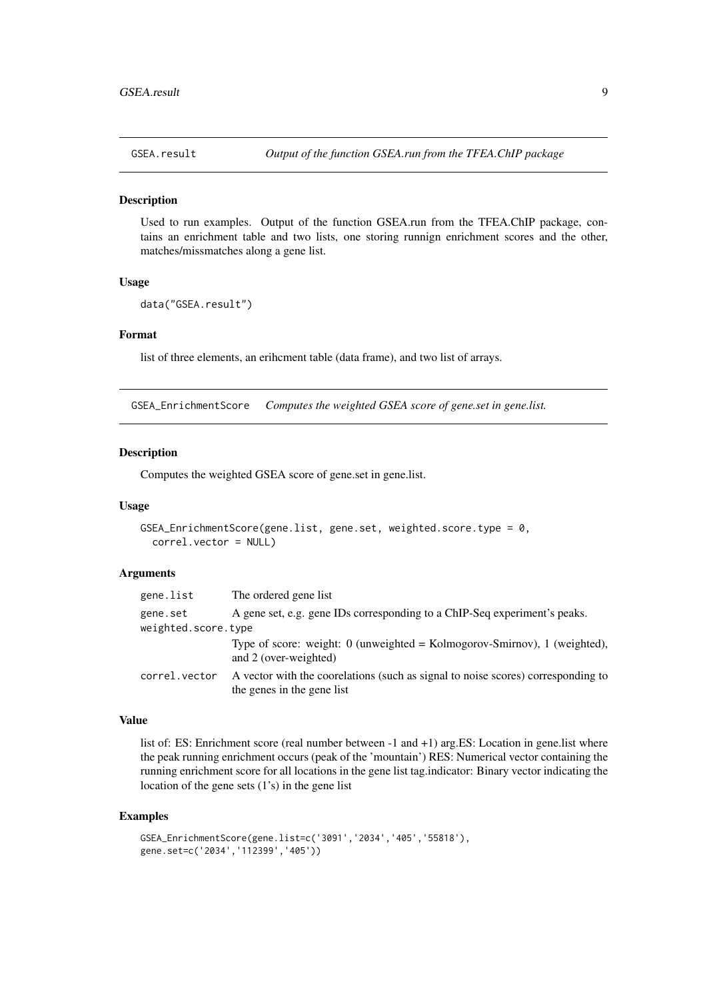<span id="page-8-0"></span>

Used to run examples. Output of the function GSEA.run from the TFEA.ChIP package, contains an enrichment table and two lists, one storing runnign enrichment scores and the other, matches/missmatches along a gene list.

#### Usage

```
data("GSEA.result")
```
#### Format

list of three elements, an erihcment table (data frame), and two list of arrays.

GSEA\_EnrichmentScore *Computes the weighted GSEA score of gene.set in gene.list.*

#### Description

Computes the weighted GSEA score of gene.set in gene.list.

#### Usage

```
GSEA_EnrichmentScore(gene.list, gene.set, weighted.score.type = 0,
  correl.vector = NULL)
```
#### Arguments

| gene.list           | The ordered gene list                                                                                          |
|---------------------|----------------------------------------------------------------------------------------------------------------|
| gene.set            | A gene set, e.g. gene IDs corresponding to a ChIP-Seq experiment's peaks.                                      |
| weighted.score.type |                                                                                                                |
|                     | Type of score: weight: $0$ (unweighted = Kolmogorov-Smirnov), 1 (weighted).<br>and 2 (over-weighted)           |
| correl.vector       | A vector with the coordlations (such as signal to noise scores) corresponding to<br>the genes in the gene list |

# Value

list of: ES: Enrichment score (real number between -1 and +1) arg.ES: Location in gene.list where the peak running enrichment occurs (peak of the 'mountain') RES: Numerical vector containing the running enrichment score for all locations in the gene list tag.indicator: Binary vector indicating the location of the gene sets (1's) in the gene list

```
GSEA_EnrichmentScore(gene.list=c('3091','2034','405','55818'),
gene.set=c('2034','112399','405'))
```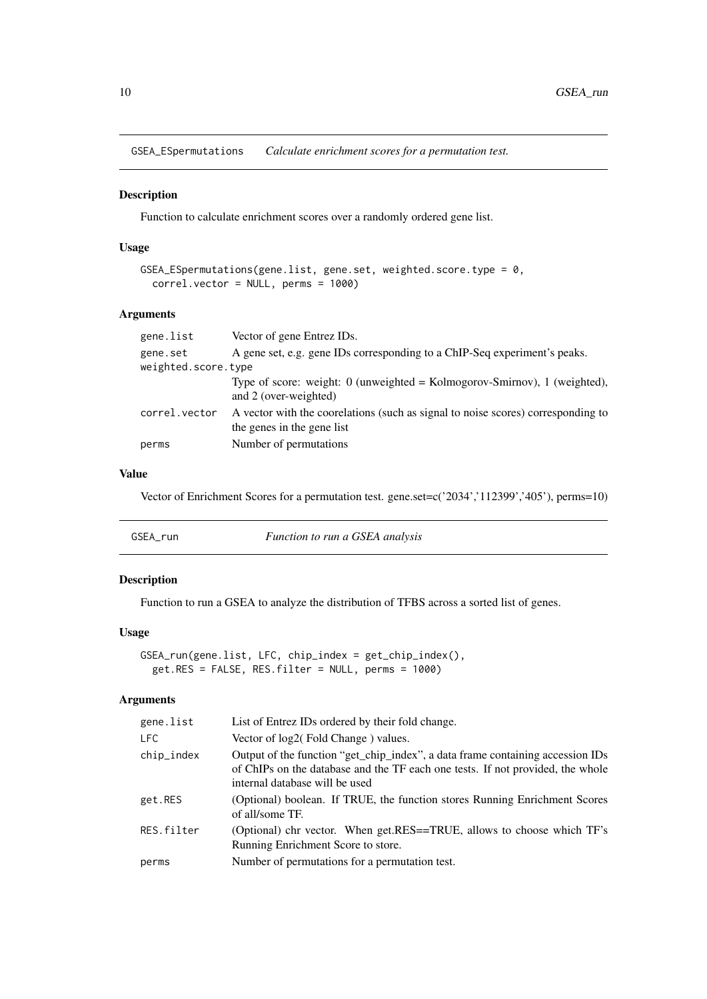<span id="page-9-0"></span>GSEA\_ESpermutations *Calculate enrichment scores for a permutation test.*

# Description

Function to calculate enrichment scores over a randomly ordered gene list.

# Usage

```
GSEA_ESpermutations(gene.list, gene.set, weighted.score.type = 0,
 correl.vector = NULL, perms = 1000)
```
# Arguments

| gene.list           | Vector of gene Entrez IDs.                                                                                     |
|---------------------|----------------------------------------------------------------------------------------------------------------|
| gene.set            | A gene set, e.g. gene IDs corresponding to a ChIP-Seq experiment's peaks.                                      |
| weighted.score.type |                                                                                                                |
|                     | Type of score: weight: $0$ (unweighted = Kolmogorov-Smirnov), 1 (weighted),<br>and 2 (over-weighted)           |
| correl.vector       | A vector with the coorelations (such as signal to noise scores) corresponding to<br>the genes in the gene list |
| perms               | Number of permutations.                                                                                        |

# Value

Vector of Enrichment Scores for a permutation test. gene.set=c('2034','112399','405'), perms=10)

| GSEA run | <i>Function to run a GSEA analysis</i> |
|----------|----------------------------------------|
|----------|----------------------------------------|

# Description

Function to run a GSEA to analyze the distribution of TFBS across a sorted list of genes.

# Usage

```
GSEA_run(gene.list, LFC, chip_index = get_chip_index(),
 get.RES = FALSE, RES.filter = NULL, perms = 1000)
```
# Arguments

| gene.list  | List of Entrez IDs ordered by their fold change.                                                                                                                                                   |
|------------|----------------------------------------------------------------------------------------------------------------------------------------------------------------------------------------------------|
| <b>LFC</b> | Vector of log2(Fold Change) values.                                                                                                                                                                |
| chip_index | Output of the function "get_chip_index", a data frame containing accession IDs<br>of ChIPs on the database and the TF each one tests. If not provided, the whole<br>internal database will be used |
| get.RES    | (Optional) boolean. If TRUE, the function stores Running Enrichment Scores<br>of all/some TF.                                                                                                      |
| RES.filter | (Optional) chr vector. When get.RES==TRUE, allows to choose which TF's<br>Running Enrichment Score to store.                                                                                       |
| perms      | Number of permutations for a permutation test.                                                                                                                                                     |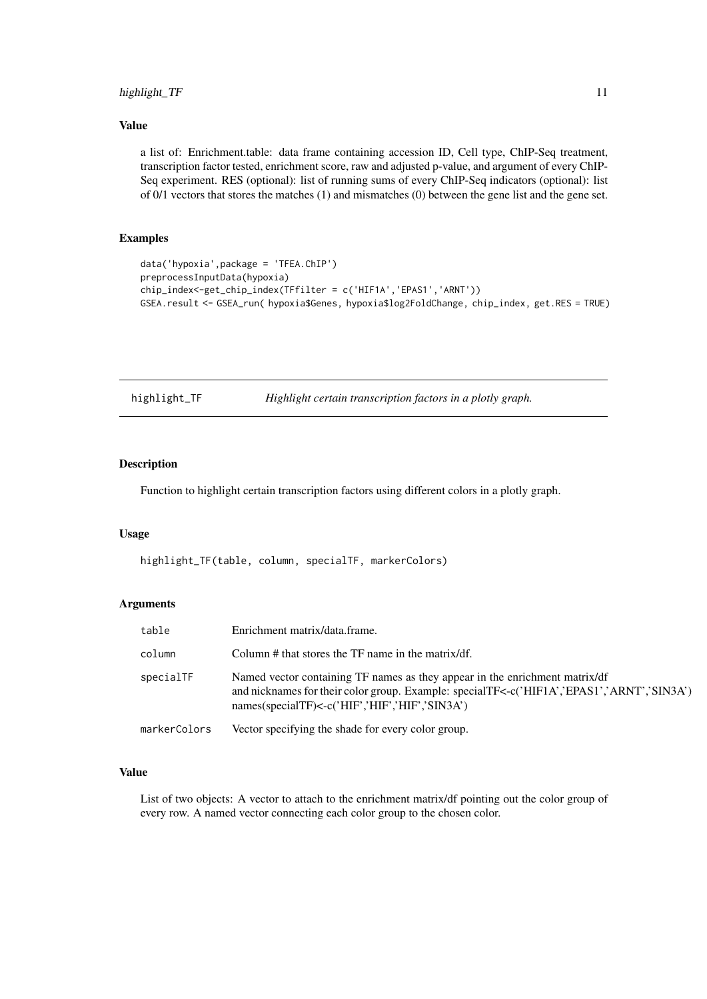#### <span id="page-10-0"></span>highlight\_TF 11

# Value

a list of: Enrichment.table: data frame containing accession ID, Cell type, ChIP-Seq treatment, transcription factor tested, enrichment score, raw and adjusted p-value, and argument of every ChIP-Seq experiment. RES (optional): list of running sums of every ChIP-Seq indicators (optional): list of 0/1 vectors that stores the matches (1) and mismatches (0) between the gene list and the gene set.

#### Examples

```
data('hypoxia',package = 'TFEA.ChIP')
preprocessInputData(hypoxia)
chip_index<-get_chip_index(TFfilter = c('HIF1A','EPAS1','ARNT'))
GSEA.result <- GSEA_run( hypoxia$Genes, hypoxia$log2FoldChange, chip_index, get.RES = TRUE)
```

| highlight_TF | Highlight certain transcription factors in a plotly graph. |  |
|--------------|------------------------------------------------------------|--|
|              |                                                            |  |

# Description

Function to highlight certain transcription factors using different colors in a plotly graph.

#### Usage

highlight\_TF(table, column, specialTF, markerColors)

#### Arguments

| table        | Enrichment matrix/data.frame.                                                                                                                                                                                               |
|--------------|-----------------------------------------------------------------------------------------------------------------------------------------------------------------------------------------------------------------------------|
| column       | Column # that stores the TF name in the matrix/df.                                                                                                                                                                          |
| specialTF    | Named vector containing TF names as they appear in the enrichment matrix/df<br>and nicknames for their color group. Example: specialTF<-c('HIF1A','EPAS1','ARNT','SIN3A')<br>names(specialTF)<-c('HIF','HIF','HIF','SIN3A') |
| markerColors | Vector specifying the shade for every color group.                                                                                                                                                                          |

# Value

List of two objects: A vector to attach to the enrichment matrix/df pointing out the color group of every row. A named vector connecting each color group to the chosen color.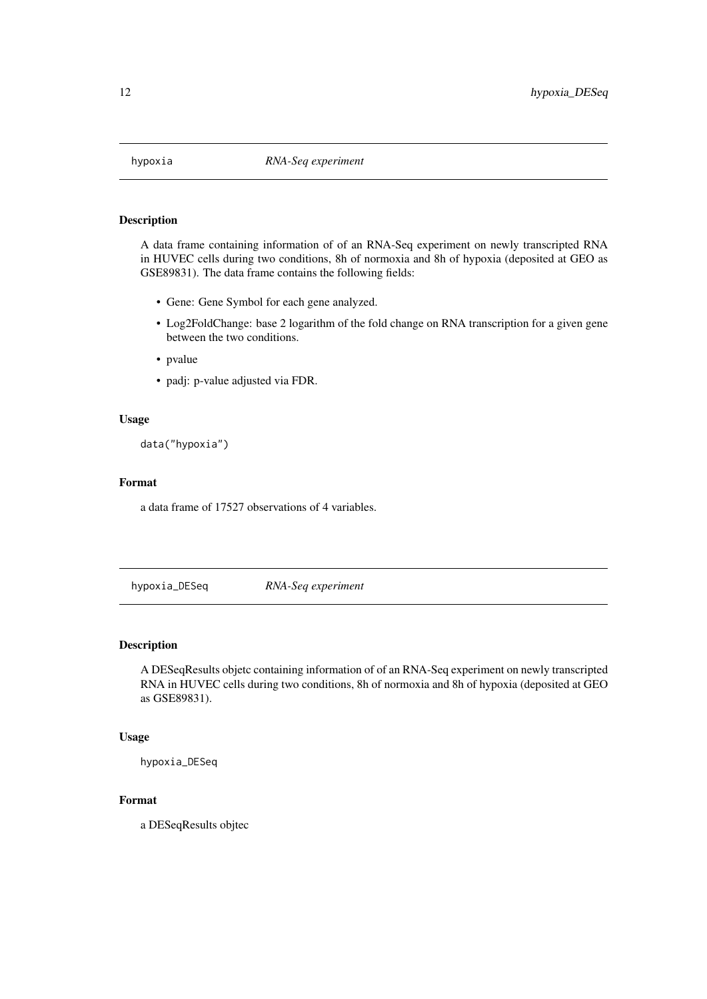<span id="page-11-0"></span>

A data frame containing information of of an RNA-Seq experiment on newly transcripted RNA in HUVEC cells during two conditions, 8h of normoxia and 8h of hypoxia (deposited at GEO as GSE89831). The data frame contains the following fields:

- Gene: Gene Symbol for each gene analyzed.
- Log2FoldChange: base 2 logarithm of the fold change on RNA transcription for a given gene between the two conditions.
- pvalue
- padj: p-value adjusted via FDR.

#### Usage

data("hypoxia")

#### Format

a data frame of 17527 observations of 4 variables.

hypoxia\_DESeq *RNA-Seq experiment*

#### Description

A DESeqResults objetc containing information of of an RNA-Seq experiment on newly transcripted RNA in HUVEC cells during two conditions, 8h of normoxia and 8h of hypoxia (deposited at GEO as GSE89831).

# Usage

hypoxia\_DESeq

# Format

a DESeqResults objtec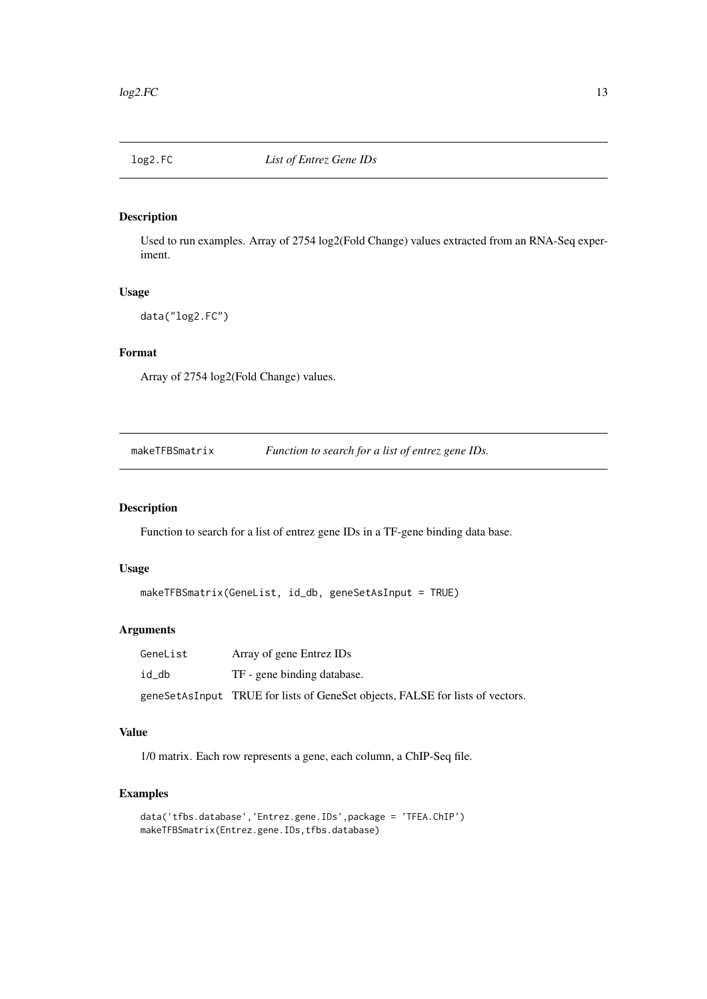<span id="page-12-0"></span>

Used to run examples. Array of 2754 log2(Fold Change) values extracted from an RNA-Seq experiment.

# Usage

data("log2.FC")

# Format

Array of 2754 log2(Fold Change) values.

makeTFBSmatrix *Function to search for a list of entrez gene IDs.*

# Description

Function to search for a list of entrez gene IDs in a TF-gene binding data base.

# Usage

```
makeTFBSmatrix(GeneList, id_db, geneSetAsInput = TRUE)
```
### Arguments

| GeneList | Array of gene Entrez IDs                                                      |
|----------|-------------------------------------------------------------------------------|
| id db    | TF - gene binding database.                                                   |
|          | geneSetAsInput TRUE for lists of GeneSet objects, FALSE for lists of vectors. |

# Value

1/0 matrix. Each row represents a gene, each column, a ChIP-Seq file.

```
data('tfbs.database','Entrez.gene.IDs',package = 'TFEA.ChIP')
makeTFBSmatrix(Entrez.gene.IDs,tfbs.database)
```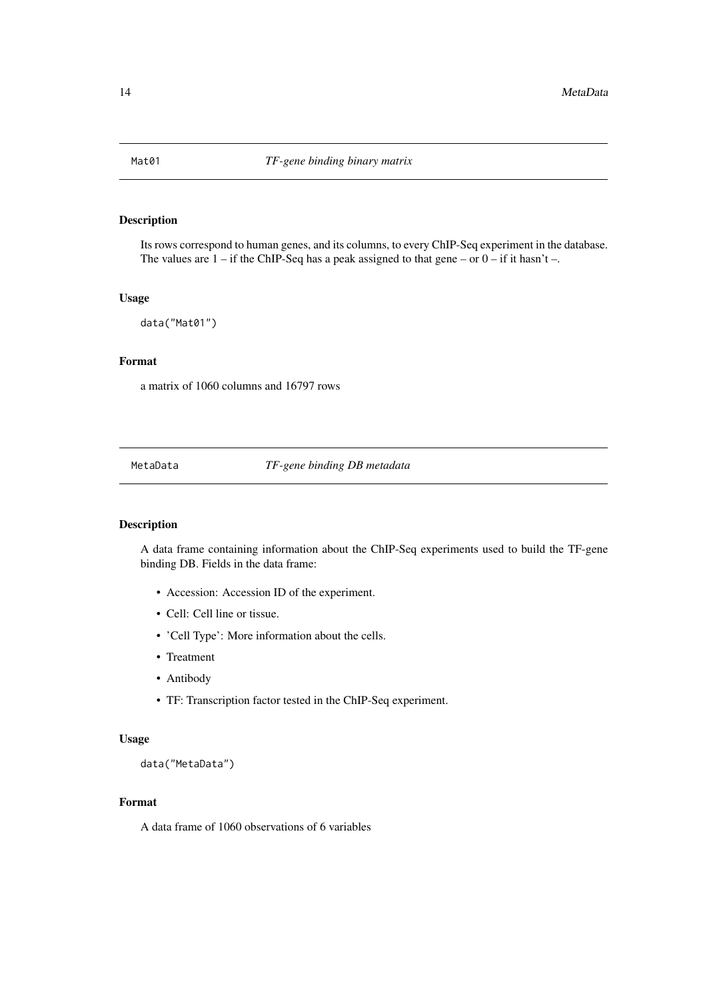<span id="page-13-0"></span>Its rows correspond to human genes, and its columns, to every ChIP-Seq experiment in the database. The values are  $1 -$  if the ChIP-Seq has a peak assigned to that gene – or  $0 -$  if it hasn't –.

# Usage

data("Mat01")

# Format

a matrix of 1060 columns and 16797 rows

MetaData *TF-gene binding DB metadata*

# Description

A data frame containing information about the ChIP-Seq experiments used to build the TF-gene binding DB. Fields in the data frame:

- Accession: Accession ID of the experiment.
- Cell: Cell line or tissue.
- 'Cell Type': More information about the cells.
- Treatment
- Antibody
- TF: Transcription factor tested in the ChIP-Seq experiment.

#### Usage

data("MetaData")

# Format

A data frame of 1060 observations of 6 variables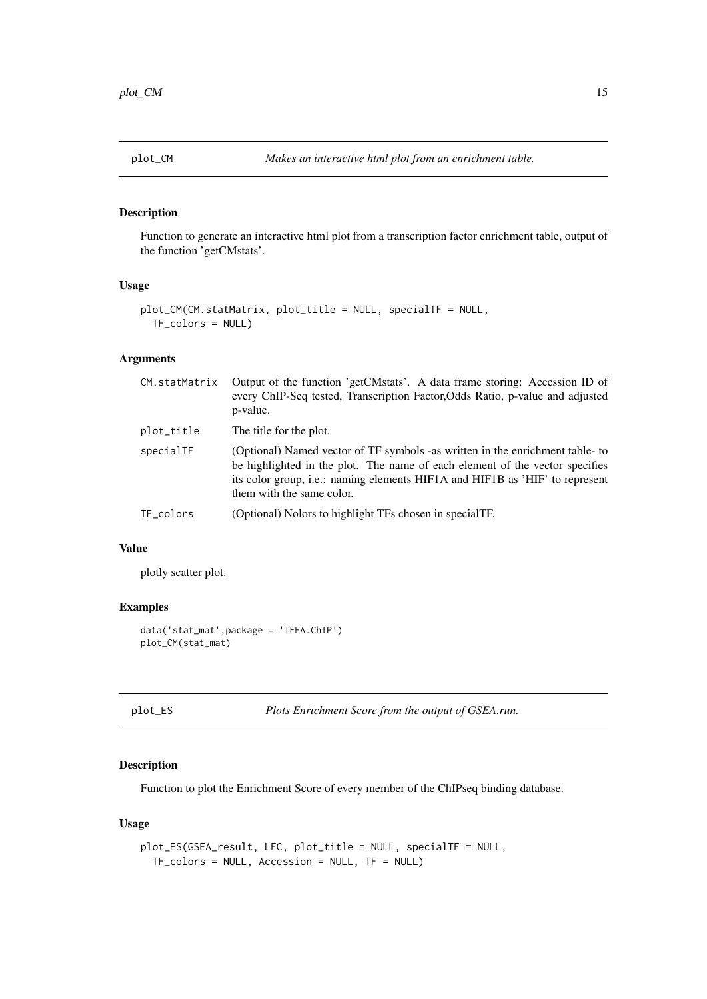<span id="page-14-0"></span>

Function to generate an interactive html plot from a transcription factor enrichment table, output of the function 'getCMstats'.

#### Usage

```
plot_CM(CM.statMatrix, plot_title = NULL, specialTF = NULL,
 TF_colors = NULL)
```
# Arguments

| CM.statMatrix | Output of the function 'getCMstats'. A data frame storing: Accession ID of<br>every ChIP-Seq tested, Transcription Factor, Odds Ratio, p-value and adjusted<br>p-value.                                                                                                           |
|---------------|-----------------------------------------------------------------------------------------------------------------------------------------------------------------------------------------------------------------------------------------------------------------------------------|
| plot_title    | The title for the plot.                                                                                                                                                                                                                                                           |
| specialTF     | (Optional) Named vector of TF symbols -as written in the enrichment table- to<br>be highlighted in the plot. The name of each element of the vector specifies<br>its color group, <i>i.e.:</i> naming elements HIF1A and HIF1B as 'HIF' to represent<br>them with the same color. |
| TF_colors     | (Optional) Nolors to highlight TFs chosen in specialTF.                                                                                                                                                                                                                           |
|               |                                                                                                                                                                                                                                                                                   |

#### Value

plotly scatter plot.

# Examples

```
data('stat_mat',package = 'TFEA.ChIP')
plot_CM(stat_mat)
```
plot\_ES *Plots Enrichment Score from the output of GSEA.run.*

#### Description

Function to plot the Enrichment Score of every member of the ChIPseq binding database.

# Usage

```
plot_ES(GSEA_result, LFC, plot_title = NULL, specialTF = NULL,
 TF_colors = NULL, Accession = NULL, TF = NULL)
```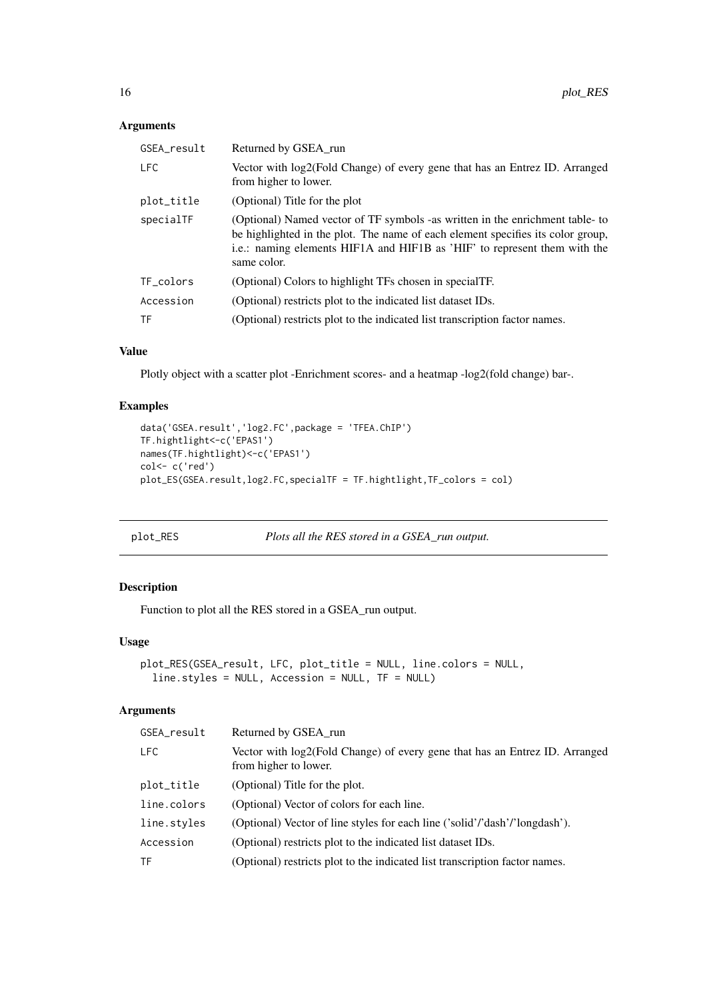# <span id="page-15-0"></span>Arguments

| GSEA_result | Returned by GSEA_run                                                                                                                                                                                                                                        |
|-------------|-------------------------------------------------------------------------------------------------------------------------------------------------------------------------------------------------------------------------------------------------------------|
| <b>LFC</b>  | Vector with log2(Fold Change) of every gene that has an Entrez ID. Arranged<br>from higher to lower.                                                                                                                                                        |
| plot_title  | (Optional) Title for the plot                                                                                                                                                                                                                               |
| specialTF   | (Optional) Named vector of TF symbols -as written in the enrichment table-to<br>be highlighted in the plot. The name of each element specifies its color group,<br>i.e.: naming elements HIF1A and HIF1B as 'HIF' to represent them with the<br>same color. |
| TF_colors   | (Optional) Colors to highlight TFs chosen in special TF.                                                                                                                                                                                                    |
| Accession   | (Optional) restricts plot to the indicated list dataset IDs.                                                                                                                                                                                                |
| TF          | (Optional) restricts plot to the indicated list transcription factor names.                                                                                                                                                                                 |
|             |                                                                                                                                                                                                                                                             |

# Value

Plotly object with a scatter plot -Enrichment scores- and a heatmap -log2(fold change) bar-.

# Examples

```
data('GSEA.result','log2.FC',package = 'TFEA.ChIP')
TF.hightlight<-c('EPAS1')
names(TF.hightlight)<-c('EPAS1')
col<- c('red')
plot_ES(GSEA.result,log2.FC,specialTF = TF.hightlight,TF_colors = col)
```

```
plot_RES Plots all the RES stored in a GSEA_run output.
```
# Description

Function to plot all the RES stored in a GSEA\_run output.

# Usage

```
plot_RES(GSEA_result, LFC, plot_title = NULL, line.colors = NULL,
 line.styles = NULL, Accession = NULL, TF = NULL)
```
# Arguments

| GSEA_result | Returned by GSEA_run                                                                                 |
|-------------|------------------------------------------------------------------------------------------------------|
| LFC.        | Vector with log2(Fold Change) of every gene that has an Entrez ID. Arranged<br>from higher to lower. |
| plot_title  | (Optional) Title for the plot.                                                                       |
| line.colors | (Optional) Vector of colors for each line.                                                           |
| line.styles | (Optional) Vector of line styles for each line ('solid'/'dash'/'longdash').                          |
| Accession   | (Optional) restricts plot to the indicated list dataset IDs.                                         |
| TF          | (Optional) restricts plot to the indicated list transcription factor names.                          |
|             |                                                                                                      |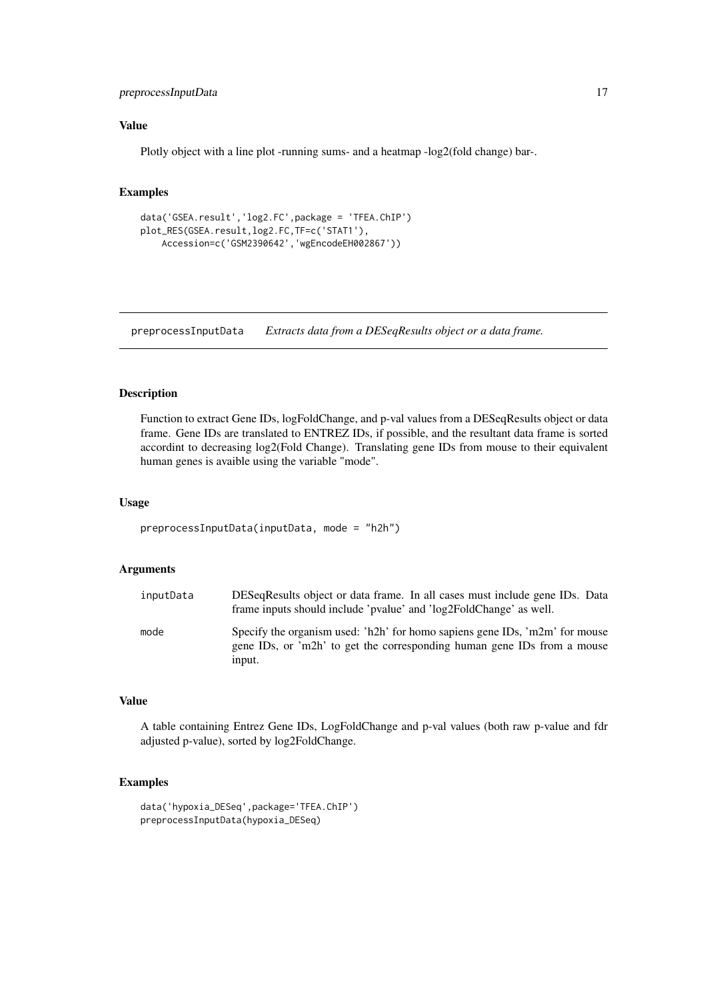#### <span id="page-16-0"></span>preprocessInputData 17

# Value

Plotly object with a line plot -running sums- and a heatmap -log2(fold change) bar-.

#### Examples

```
data('GSEA.result','log2.FC',package = 'TFEA.ChIP')
plot_RES(GSEA.result,log2.FC,TF=c('STAT1'),
    Accession=c('GSM2390642','wgEncodeEH002867'))
```
preprocessInputData *Extracts data from a DESeqResults object or a data frame.*

# Description

Function to extract Gene IDs, logFoldChange, and p-val values from a DESeqResults object or data frame. Gene IDs are translated to ENTREZ IDs, if possible, and the resultant data frame is sorted accordint to decreasing log2(Fold Change). Translating gene IDs from mouse to their equivalent human genes is avaible using the variable "mode".

# Usage

```
preprocessInputData(inputData, mode = "h2h")
```
### Arguments

| inputData | DESeqResults object or data frame. In all cases must include gene IDs. Data<br>frame inputs should include 'pvalue' and 'log2FoldChange' as well.                |
|-----------|------------------------------------------------------------------------------------------------------------------------------------------------------------------|
| mode      | Specify the organism used: 'h2h' for homo sapiens gene IDs, 'm2m' for mouse<br>gene IDs, or 'm2h' to get the corresponding human gene IDs from a mouse<br>input. |

# Value

A table containing Entrez Gene IDs, LogFoldChange and p-val values (both raw p-value and fdr adjusted p-value), sorted by log2FoldChange.

```
data('hypoxia_DESeq',package='TFEA.ChIP')
preprocessInputData(hypoxia_DESeq)
```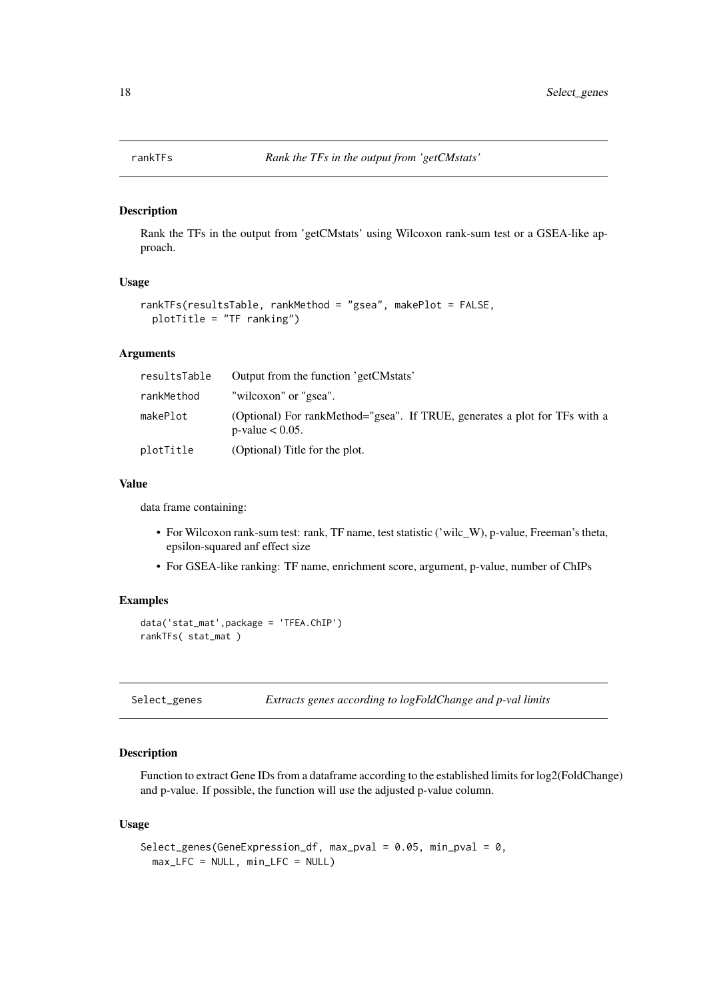<span id="page-17-0"></span>

Rank the TFs in the output from 'getCMstats' using Wilcoxon rank-sum test or a GSEA-like approach.

## Usage

```
rankTFs(resultsTable, rankMethod = "gsea", makePlot = FALSE,
 plotTitle = "TF ranking")
```
#### Arguments

| resultsTable | Output from the function 'getCMstats'                                                            |
|--------------|--------------------------------------------------------------------------------------------------|
| rankMethod   | "wilcoxon" or "gsea".                                                                            |
| makePlot     | (Optional) For rankMethod="gsea". If TRUE, generates a plot for TFs with a<br>p-value $< 0.05$ . |
| plotTitle    | (Optional) Title for the plot.                                                                   |

# Value

data frame containing:

- For Wilcoxon rank-sum test: rank, TF name, test statistic ('wilc\_W), p-value, Freeman's theta, epsilon-squared anf effect size
- For GSEA-like ranking: TF name, enrichment score, argument, p-value, number of ChIPs

#### Examples

```
data('stat_mat',package = 'TFEA.ChIP')
rankTFs( stat_mat )
```
Select\_genes *Extracts genes according to logFoldChange and p-val limits*

#### Description

Function to extract Gene IDs from a dataframe according to the established limits for log2(FoldChange) and p-value. If possible, the function will use the adjusted p-value column.

#### Usage

```
Select_genes(GeneExpression_df, max_pval = 0.05, min_pval = 0,
 max_LFC = NULL, min_LFC = NULL)
```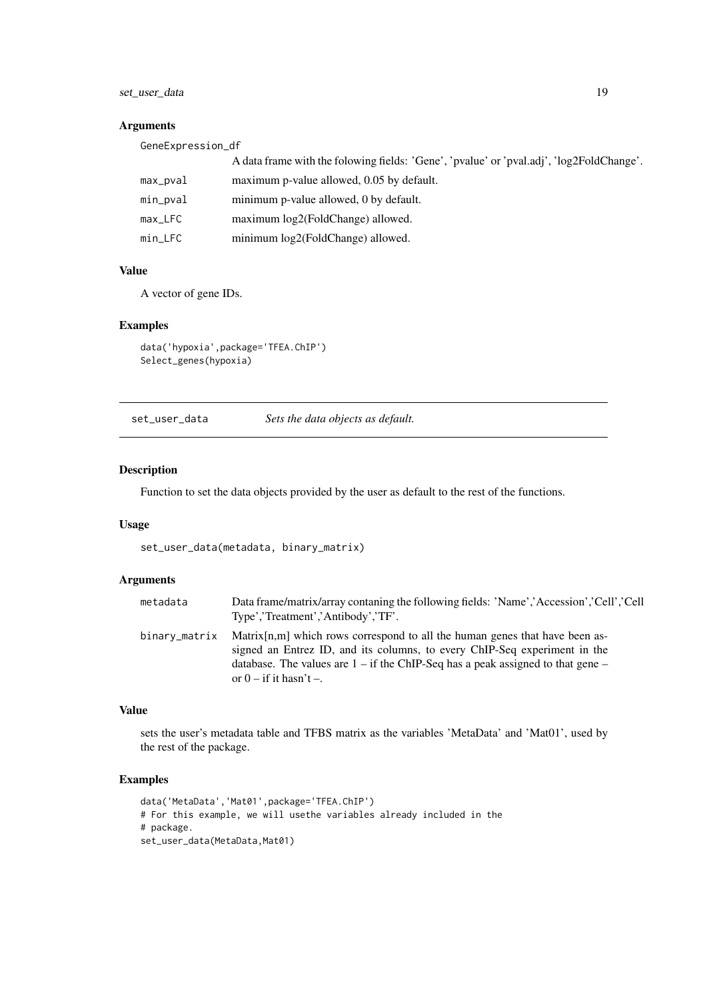<span id="page-18-0"></span>set\_user\_data 19

#### Arguments

| GeneExpression_df |                                                                                          |
|-------------------|------------------------------------------------------------------------------------------|
|                   | A data frame with the folowing fields: 'Gene', 'pvalue' or 'pval.adj', 'log2FoldChange'. |
| max_pval          | maximum p-value allowed, 0.05 by default.                                                |
| min_pval          | minimum p-value allowed, 0 by default.                                                   |
| $max$ $LFC$       | maximum log2(FoldChange) allowed.                                                        |
| min_LFC           | minimum log2(FoldChange) allowed.                                                        |

# Value

A vector of gene IDs.

#### Examples

```
data('hypoxia',package='TFEA.ChIP')
Select_genes(hypoxia)
```
set\_user\_data *Sets the data objects as default.*

# Description

Function to set the data objects provided by the user as default to the rest of the functions.

# Usage

set\_user\_data(metadata, binary\_matrix)

# Arguments

| metadata      | Data frame/matrix/array contaning the following fields: 'Name','Accession','Cell','Cell<br>Type','Treatment','Antibody','TF'.                                                                                                                                                     |
|---------------|-----------------------------------------------------------------------------------------------------------------------------------------------------------------------------------------------------------------------------------------------------------------------------------|
| binary_matrix | Matrix $[n,m]$ which rows correspond to all the human genes that have been as-<br>signed an Entrez ID, and its columns, to every ChIP-Seq experiment in the<br>database. The values are $1 - if$ the ChIP-Seq has a peak assigned to that gene $-$<br>or $0 - if$ it hasn't $-$ . |

# Value

sets the user's metadata table and TFBS matrix as the variables 'MetaData' and 'Mat01', used by the rest of the package.

```
data('MetaData','Mat01',package='TFEA.ChIP')
# For this example, we will usethe variables already included in the
# package.
set_user_data(MetaData,Mat01)
```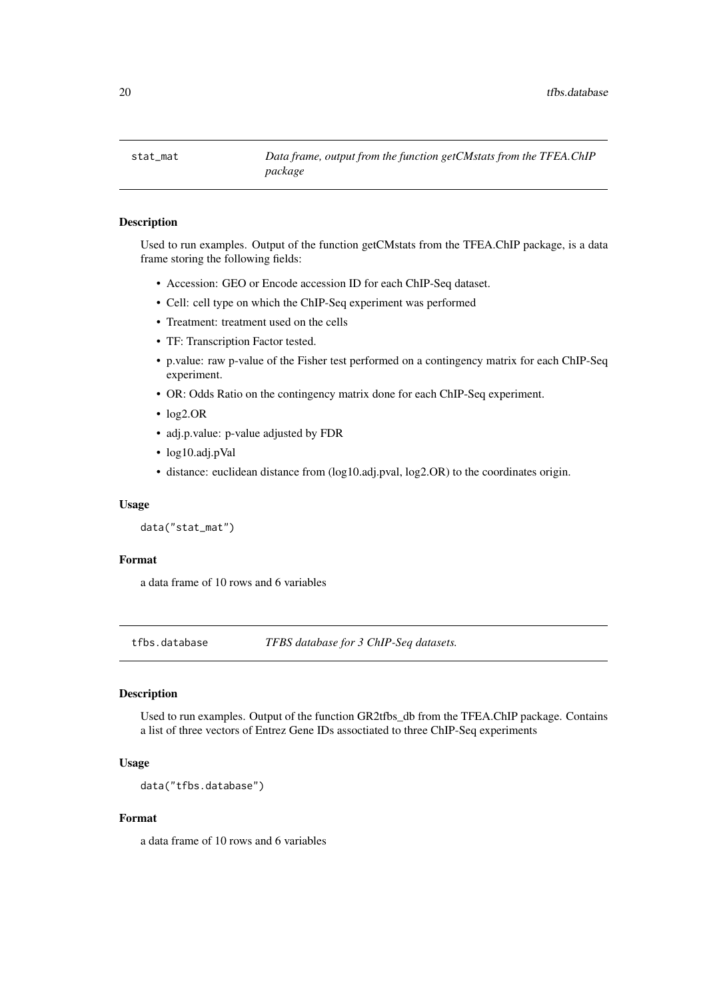<span id="page-19-0"></span>

Used to run examples. Output of the function getCMstats from the TFEA.ChIP package, is a data frame storing the following fields:

- Accession: GEO or Encode accession ID for each ChIP-Seq dataset.
- Cell: cell type on which the ChIP-Seq experiment was performed
- Treatment: treatment used on the cells
- TF: Transcription Factor tested.
- p.value: raw p-value of the Fisher test performed on a contingency matrix for each ChIP-Seq experiment.
- OR: Odds Ratio on the contingency matrix done for each ChIP-Seq experiment.
- log2.OR
- adj.p.value: p-value adjusted by FDR
- log10.adj.pVal
- distance: euclidean distance from (log10.adj.pval, log2.OR) to the coordinates origin.

#### Usage

```
data("stat_mat")
```
#### Format

a data frame of 10 rows and 6 variables

tfbs.database *TFBS database for 3 ChIP-Seq datasets.*

# Description

Used to run examples. Output of the function GR2tfbs\_db from the TFEA.ChIP package. Contains a list of three vectors of Entrez Gene IDs assoctiated to three ChIP-Seq experiments

# Usage

data("tfbs.database")

#### Format

a data frame of 10 rows and 6 variables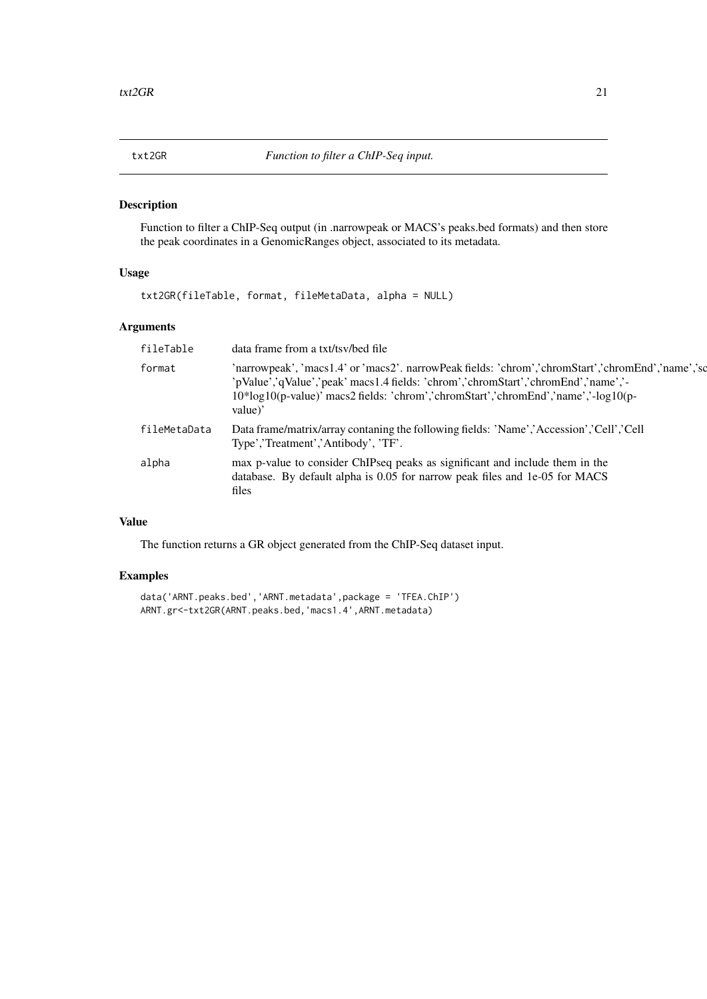<span id="page-20-0"></span>

Function to filter a ChIP-Seq output (in .narrowpeak or MACS's peaks.bed formats) and then store the peak coordinates in a GenomicRanges object, associated to its metadata.

# Usage

txt2GR(fileTable, format, fileMetaData, alpha = NULL)

# Arguments

#### Value

The function returns a GR object generated from the ChIP-Seq dataset input.

```
data('ARNT.peaks.bed','ARNT.metadata',package = 'TFEA.ChIP')
ARNT.gr<-txt2GR(ARNT.peaks.bed,'macs1.4',ARNT.metadata)
```